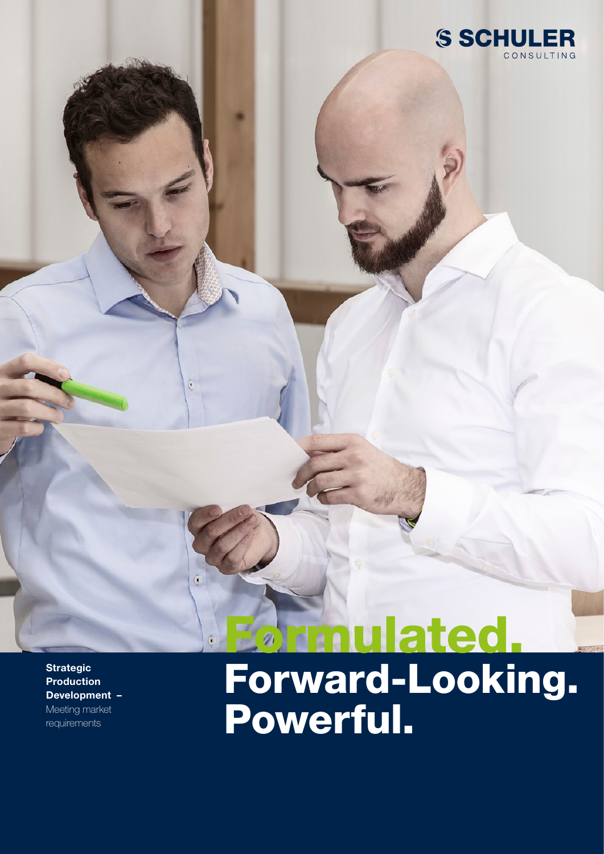

Stand 02/2021 | Technische Änderungen, Druckfehler und Irrtümer vorbehalten.

**Strategic** Production Development – Meeting market requirements

ă

# Formulated.

Forward-Looking. Powerful.